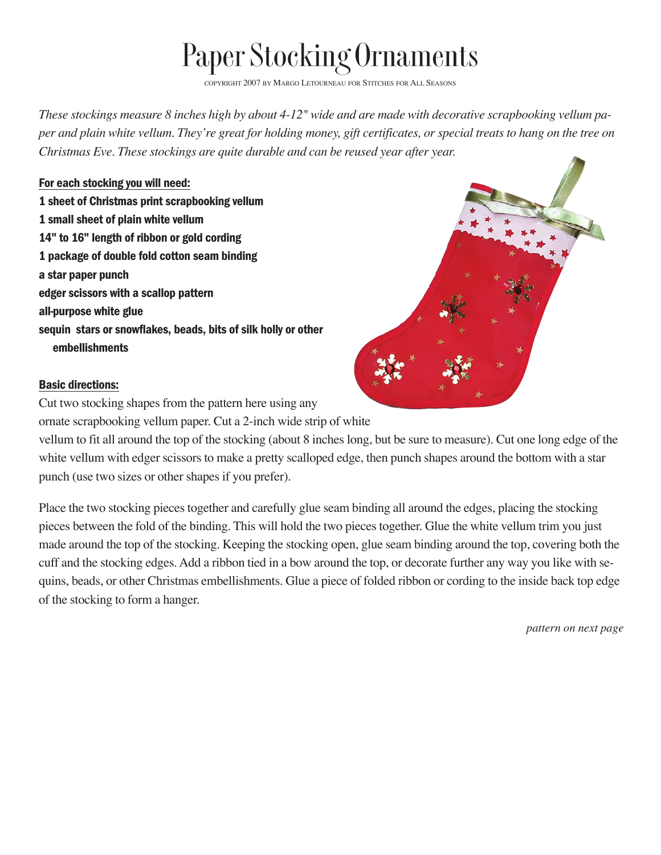## Paper Stocking Ornaments

COPYRIGHT 2007 BY MARGO LETOURNEAU FOR STITCHES FOR ALL SEASONS

*These stockings measure 8 inches high by about 4-12" wide and are made with decorative scrapbooking vellum paper and plain white vellum. They're great for holding money, gift certificates, or special treats to hang on the tree on Christmas Eve. These stockings are quite durable and can be reused year after year.*

For each stocking you will need: 1 sheet of Christmas print scrapbooking vellum 1 small sheet of plain white vellum 14" to 16" length of ribbon or gold cording 1 package of double fold cotton seam binding a star paper punch edger scissors with a scallop pattern all-purpose white glue sequin stars or snowflakes, beads, bits of silk holly or other embellishments

## Basic directions:

Cut two stocking shapes from the pattern here using any

ornate scrapbooking vellum paper. Cut a 2-inch wide strip of white

vellum to fit all around the top of the stocking (about 8 inches long, but be sure to measure). Cut one long edge of the white vellum with edger scissors to make a pretty scalloped edge, then punch shapes around the bottom with a star punch (use two sizes or other shapes if you prefer).

Place the two stocking pieces together and carefully glue seam binding all around the edges, placing the stocking pieces between the fold of the binding. This will hold the two pieces together. Glue the white vellum trim you just made around the top of the stocking. Keeping the stocking open, glue seam binding around the top, covering both the cuff and the stocking edges. Add a ribbon tied in a bow around the top, or decorate further any way you like with sequins, beads, or other Christmas embellishments. Glue a piece of folded ribbon or cording to the inside back top edge of the stocking to form a hanger.

*pattern on next page*